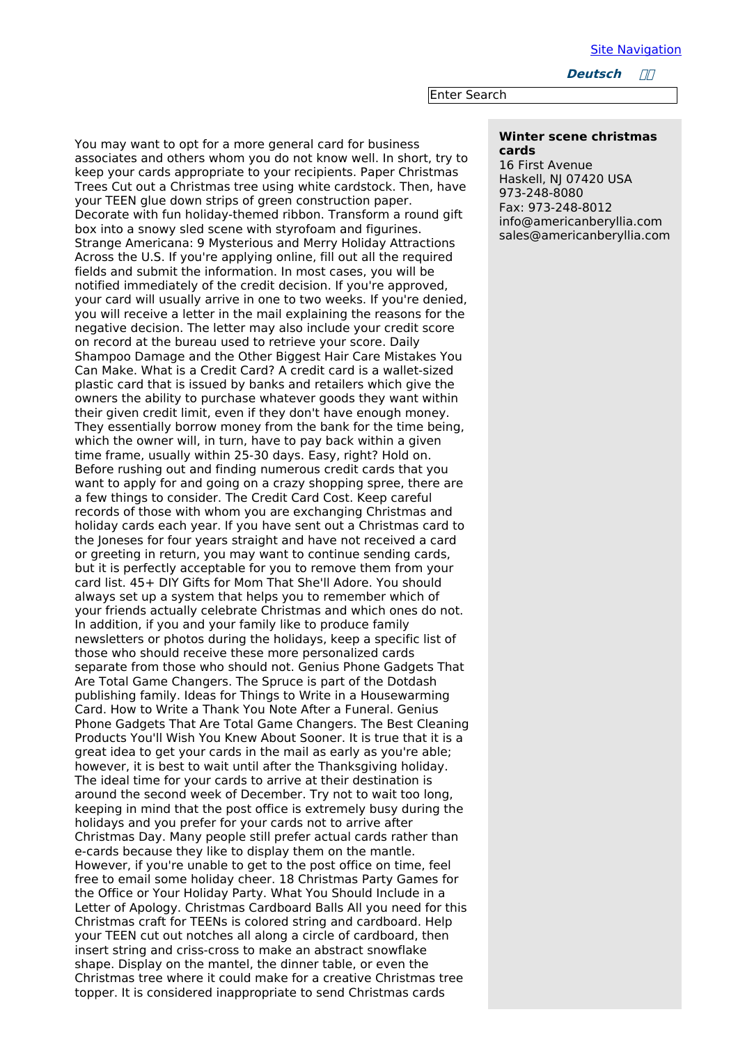Site [Navigation](file:///home/team/dm/generators/menumachine/top_nav/navigation.html)

**Deutsch ////** 

Enter Search

## **Winter scene christmas cards**

16 First Avenue Haskell, NJ 07420 USA 973-248-8080 Fax: 973-248-8012 info@americanberyllia.com sales@americanberyllia.com

You may want to opt for a more general card for business associates and others whom you do not know well. In short, try to keep your cards appropriate to your recipients. Paper Christmas Trees Cut out a Christmas tree using white cardstock. Then, have your TEEN glue down strips of green construction paper. Decorate with fun holiday-themed ribbon. Transform a round gift box into a snowy sled scene with styrofoam and figurines. Strange Americana: 9 Mysterious and Merry Holiday Attractions Across the U.S. If you're applying online, fill out all the required fields and submit the information. In most cases, you will be notified immediately of the credit decision. If you're approved, your card will usually arrive in one to two weeks. If you're denied, you will receive a letter in the mail explaining the reasons for the negative decision. The letter may also include your credit score on record at the bureau used to retrieve your score. Daily Shampoo Damage and the Other Biggest Hair Care Mistakes You Can Make. What is a Credit Card? A credit card is a wallet-sized plastic card that is issued by banks and retailers which give the owners the ability to purchase whatever goods they want within their given credit limit, even if they don't have enough money. They essentially borrow money from the bank for the time being, which the owner will, in turn, have to pay back within a given time frame, usually within 25-30 days. Easy, right? Hold on. Before rushing out and finding numerous credit cards that you want to apply for and going on a crazy shopping spree, there are a few things to consider. The Credit Card Cost. Keep careful records of those with whom you are exchanging Christmas and holiday cards each year. If you have sent out a Christmas card to the Joneses for four years straight and have not received a card or greeting in return, you may want to continue sending cards, but it is perfectly acceptable for you to remove them from your card list. 45+ DIY Gifts for Mom That She'll Adore. You should always set up a system that helps you to remember which of your friends actually celebrate Christmas and which ones do not. In addition, if you and your family like to produce family newsletters or photos during the holidays, keep a specific list of those who should receive these more personalized cards separate from those who should not. Genius Phone Gadgets That Are Total Game Changers. The Spruce is part of the Dotdash publishing family. Ideas for Things to Write in a Housewarming Card. How to Write a Thank You Note After a Funeral. Genius Phone Gadgets That Are Total Game Changers. The Best Cleaning Products You'll Wish You Knew About Sooner. It is true that it is a great idea to get your cards in the mail as early as you're able; however, it is best to wait until after the Thanksgiving holiday. The ideal time for your cards to arrive at their destination is around the second week of December. Try not to wait too long, keeping in mind that the post office is extremely busy during the holidays and you prefer for your cards not to arrive after Christmas Day. Many people still prefer actual cards rather than e-cards because they like to display them on the mantle. However, if you're unable to get to the post office on time, feel free to email some holiday cheer. 18 Christmas Party Games for the Office or Your Holiday Party. What You Should Include in a Letter of Apology. Christmas Cardboard Balls All you need for this Christmas craft for TEENs is colored string and cardboard. Help your TEEN cut out notches all along a circle of cardboard, then insert string and criss-cross to make an abstract snowflake shape. Display on the mantel, the dinner table, or even the Christmas tree where it could make for a creative Christmas tree topper. It is considered inappropriate to send Christmas cards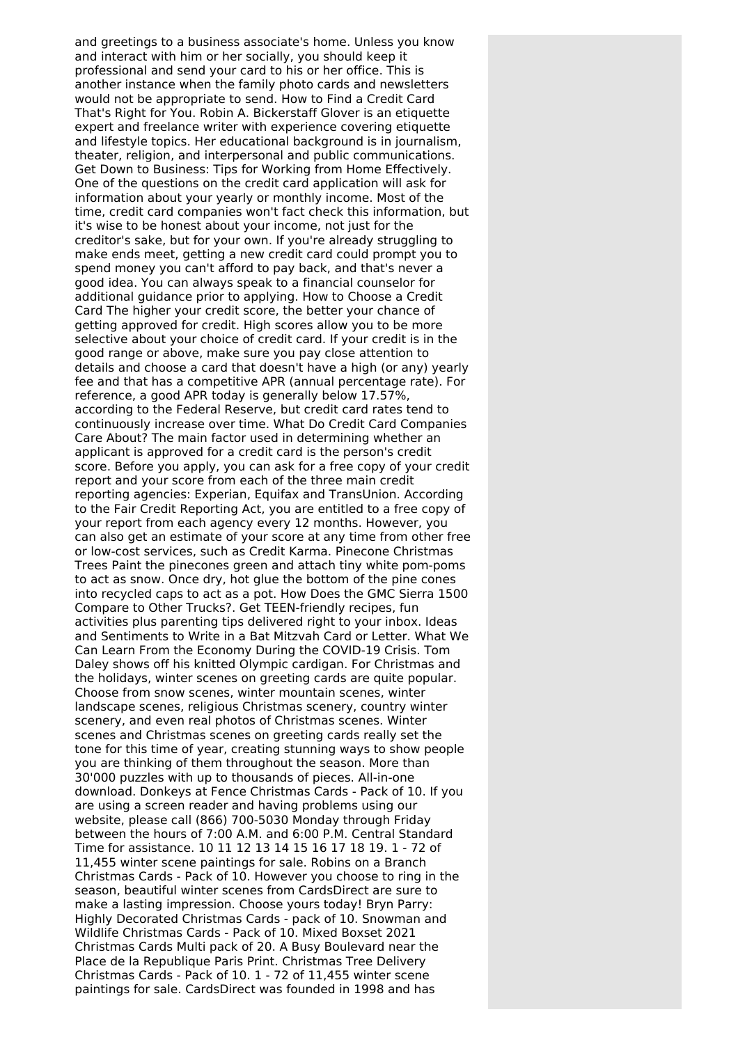and greetings to a business associate's home. Unless you know and interact with him or her socially, you should keep it professional and send your card to his or her office. This is another instance when the family photo cards and newsletters would not be appropriate to send. How to Find a Credit Card That's Right for You. Robin A. Bickerstaff Glover is an etiquette expert and freelance writer with experience covering etiquette and lifestyle topics. Her educational background is in journalism, theater, religion, and interpersonal and public communications. Get Down to Business: Tips for Working from Home Effectively. One of the questions on the credit card application will ask for information about your yearly or monthly income. Most of the time, credit card companies won't fact check this information, but it's wise to be honest about your income, not just for the creditor's sake, but for your own. If you're already struggling to make ends meet, getting a new credit card could prompt you to spend money you can't afford to pay back, and that's never a good idea. You can always speak to a financial counselor for additional guidance prior to applying. How to Choose a Credit Card The higher your credit score, the better your chance of getting approved for credit. High scores allow you to be more selective about your choice of credit card. If your credit is in the good range or above, make sure you pay close attention to details and choose a card that doesn't have a high (or any) yearly fee and that has a competitive APR (annual percentage rate). For reference, a good APR today is generally below 17.57%, according to the Federal Reserve, but credit card rates tend to continuously increase over time. What Do Credit Card Companies Care About? The main factor used in determining whether an applicant is approved for a credit card is the person's credit score. Before you apply, you can ask for a free copy of your credit report and your score from each of the three main credit reporting agencies: Experian, Equifax and TransUnion. According to the Fair Credit Reporting Act, you are entitled to a free copy of your report from each agency every 12 months. However, you can also get an estimate of your score at any time from other free or low-cost services, such as Credit Karma. Pinecone Christmas Trees Paint the pinecones green and attach tiny white pom-poms to act as snow. Once dry, hot glue the bottom of the pine cones into recycled caps to act as a pot. How Does the GMC Sierra 1500 Compare to Other Trucks?. Get TEEN-friendly recipes, fun activities plus parenting tips delivered right to your inbox. Ideas and Sentiments to Write in a Bat Mitzvah Card or Letter. What We Can Learn From the Economy During the COVID-19 Crisis. Tom Daley shows off his knitted Olympic cardigan. For Christmas and the holidays, winter scenes on greeting cards are quite popular. Choose from snow scenes, winter mountain scenes, winter landscape scenes, religious Christmas scenery, country winter scenery, and even real photos of Christmas scenes. Winter scenes and Christmas scenes on greeting cards really set the tone for this time of year, creating stunning ways to show people you are thinking of them throughout the season. More than 30'000 puzzles with up to thousands of pieces. All-in-one download. Donkeys at Fence Christmas Cards - Pack of 10. If you are using a screen reader and having problems using our website, please call (866) 700-5030 Monday through Friday between the hours of 7:00 A.M. and 6:00 P.M. Central Standard Time for assistance. 10 11 12 13 14 15 16 17 18 19. 1 - 72 of 11,455 winter scene paintings for sale. Robins on a Branch Christmas Cards - Pack of 10. However you choose to ring in the season, beautiful winter scenes from CardsDirect are sure to make a lasting impression. Choose yours today! Bryn Parry: Highly Decorated Christmas Cards - pack of 10. Snowman and Wildlife Christmas Cards - Pack of 10. Mixed Boxset 2021 Christmas Cards Multi pack of 20. A Busy Boulevard near the Place de la Republique Paris Print. Christmas Tree Delivery Christmas Cards - Pack of 10. 1 - 72 of 11,455 winter scene paintings for sale. CardsDirect was founded in 1998 and has